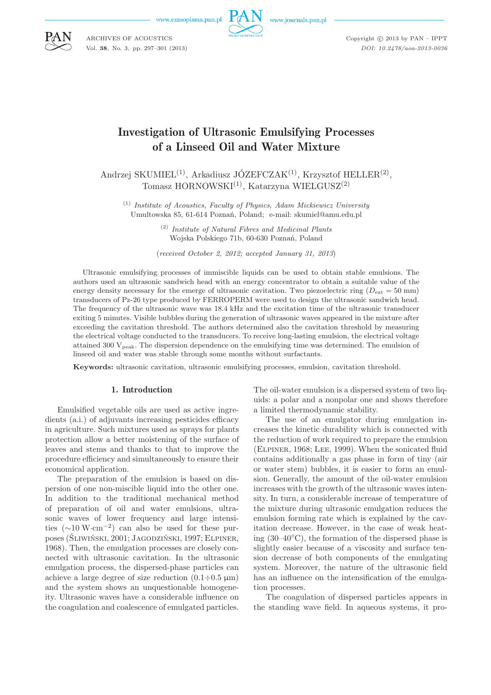www.czasopisma.pan.pl



www.journals.pan.pl

Copyright  $\odot$  2013 by PAN - IPPT *DOI: 10.2478/aoa-2013-0036*

# Investigation of Ultrasonic Emulsifying Processes of a Linseed Oil and Water Mixture

Andrzej SKUMIEL<sup>(1)</sup>, Arkadiusz JÓZEFCZAK<sup>(1)</sup>, Krzysztof HELLER<sup>(2)</sup>, Tomasz HORNOWSKI<sup>(1)</sup>, Katarzyna WIELGUSZ<sup>(2)</sup>

(1) *Institute of Acoustics, Faculty of Physics, Adam Mickiewicz University* Umultowska 85, 61-614 Poznań, Poland; e-mail: skumiel@amu.edu.pl

> (2) *Institute of Natural Fibres and Medicinal Plants* Wojska Polskiego 71b, 60-630 Poznań, Poland

(*received October 2, 2012; accepted January 31, 2013*)

Ultrasonic emulsifying processes of immiscible liquids can be used to obtain stable emulsions. The authors used an ultrasonic sandwich head with an energy concentrator to obtain a suitable value of the energy density necessary for the emerge of ultrasonic cavitation. Two piezoelectric ring ( $D_{\text{ext}} = 50 \text{ mm}$ ) transducers of Pz-26 type produced by FERROPERM were used to design the ultrasonic sandwich head. The frequency of the ultrasonic wave was 18.4 kHz and the excitation time of the ultrasonic transducer exiting 5 minutes. Visible bubbles during the generation of ultrasonic waves appeared in the mixture after exceeding the cavitation threshold. The authors determined also the cavitation threshold by measuring the electrical voltage conducted to the transducers. To receive long-lasting emulsion, the electrical voltage attained 300  $V_{peak}$ . The dispersion dependence on the emulsifying time was determined. The emulsion of linseed oil and water was stable through some months without surfactants.

**Keywords:** ultrasonic cavitation, ultrasonic emulsifying processes, emulsion, cavitation threshold.

#### 1. Introduction

Emulsified vegetable oils are used as active ingredients (a.i.) of adjuvants increasing pesticides efficacy in agriculture. Such mixtures used as sprays for plants protection allow a better moistening of the surface of leaves and stems and thanks to that to improve the procedure efficiency and simultaneously to ensure their economical application.

The preparation of the emulsion is based on dispersion of one non-miscible liquid into the other one. In addition to the traditional mechanical method of preparation of oil and water emulsions, ultrasonic waves of lower frequency and large intensities (∼10 W·cm<sup>−</sup><sup>2</sup> ) can also be used for these purposes (Śliwiński, 2001; Jagodziński, 1997; Elpiner, 1968). Then, the emulgation processes are closely connected with ultrasonic cavitation. In the ultrasonic emulgation process, the dispersed-phase particles can achieve a large degree of size reduction  $(0.1 \div 0.5 \,\mu\text{m})$ and the system shows an unquestionable homogeneity. Ultrasonic waves have a considerable influence on the coagulation and coalescence of emulgated particles.

The oil-water emulsion is a dispersed system of two liquids: a polar and a nonpolar one and shows therefore a limited thermodynamic stability.

The use of an emulgator during emulgation increases the kinetic durability which is connected with the reduction of work required to prepare the emulsion (Elpiner, 1968; Lee, 1999). When the sonicated fluid contains additionally a gas phase in form of tiny (air or water stem) bubbles, it is easier to form an emulsion. Generally, the amount of the oil-water emulsion increases with the growth of the ultrasonic waves intensity. In turn, a considerable increase of temperature of the mixture during ultrasonic emulgation reduces the emulsion forming rate which is explained by the cavitation decrease. However, in the case of weak heating  $(30-40°\text{C})$ , the formation of the dispersed phase is slightly easier because of a viscosity and surface tension decrease of both components of the emulgating system. Moreover, the nature of the ultrasonic field has an influence on the intensification of the emulgation processes.

The coagulation of dispersed particles appears in the standing wave field. In aqueous systems, it pro-



ARCHIVES OF ACOUSTICS Vol. **38**, No. 3, pp. 297–301 (2013)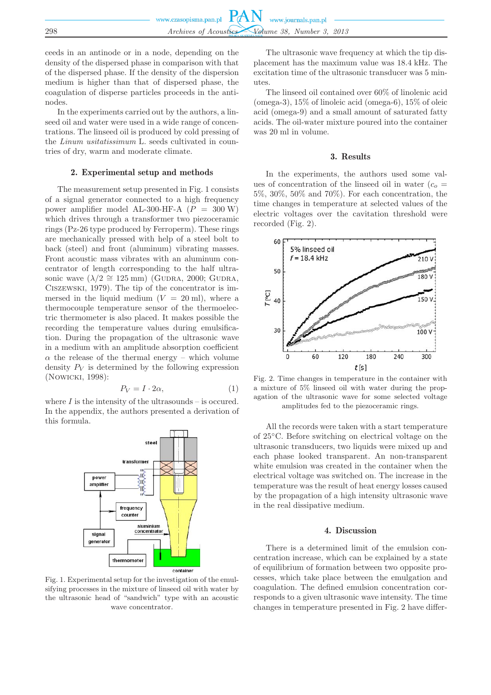ceeds in an antinode or in a node, depending on the density of the dispersed phase in comparison with that of the dispersed phase. If the density of the dispersion medium is higher than that of dispersed phase, the coagulation of disperse particles proceeds in the antinodes.

In the experiments carried out by the authors, a linseed oil and water were used in a wide range of concentrations. The linseed oil is produced by cold pressing of the *Linum usitatissimum* L. seeds cultivated in countries of dry, warm and moderate climate.

#### 2. Experimental setup and methods

The measurement setup presented in Fig. 1 consists of a signal generator connected to a high frequency power amplifier model AL-300-HF-A  $(P = 300 \text{ W})$ which drives through a transformer two piezoceramic rings (Pz-26 type produced by Ferroperm). These rings are mechanically pressed with help of a steel bolt to back (steel) and front (aluminum) vibrating masses. Front acoustic mass vibrates with an aluminum concentrator of length corresponding to the half ultrasonic wave  $(\lambda/2 \cong 125 \text{ mm})$  (GUDRA, 2000; GUDRA, Ciszewski, 1979). The tip of the concentrator is immersed in the liquid medium  $(V = 20 \text{ ml})$ , where a thermocouple temperature sensor of the thermoelectric thermometer is also placed. It makes possible the recording the temperature values during emulsification. During the propagation of the ultrasonic wave in a medium with an amplitude absorption coefficient  $\alpha$  the release of the thermal energy – which volume density  $P_V$  is determined by the following expression (Nowicki, 1998):

$$
P_V = I \cdot 2\alpha,\tag{1}
$$

where  $I$  is the intensity of the ultrasounds – is occured. In the appendix, the authors presented a derivation of this formula.



Fig. 1. Experimental setup for the investigation of the emulsifying processes in the mixture of linseed oil with water by the ultrasonic head of "sandwich" type with an acoustic wave concentrator.

The ultrasonic wave frequency at which the tip displacement has the maximum value was 18.4 kHz. The excitation time of the ultrasonic transducer was 5 minutes.

The linseed oil contained over 60% of linolenic acid (omega-3), 15% of linoleic acid (omega-6), 15% of oleic acid (omega-9) and a small amount of saturated fatty acids. The oil-water mixture poured into the container was 20 ml in volume.

#### 3. Results

In the experiments, the authors used some values of concentration of the linseed oil in water  $(c<sub>o</sub> =$ 5%, 30%, 50% and 70%). For each concentration, the time changes in temperature at selected values of the electric voltages over the cavitation threshold were recorded (Fig. 2).



Fig. 2. Time changes in temperature in the container with a mixture of 5% linseed oil with water during the propagation of the ultrasonic wave for some selected voltage amplitudes fed to the piezoceramic rings.

All the records were taken with a start temperature of 25◦C. Before switching on electrical voltage on the ultrasonic transducers, two liquids were mixed up and each phase looked transparent. An non-transparent white emulsion was created in the container when the electrical voltage was switched on. The increase in the temperature was the result of heat energy losses caused by the propagation of a high intensity ultrasonic wave in the real dissipative medium.

## 4. Discussion

There is a determined limit of the emulsion concentration increase, which can be explained by a state of equilibrium of formation between two opposite processes, which take place between the emulgation and coagulation. The defined emulsion concentration corresponds to a given ultrasonic wave intensity. The time changes in temperature presented in Fig. 2 have differ-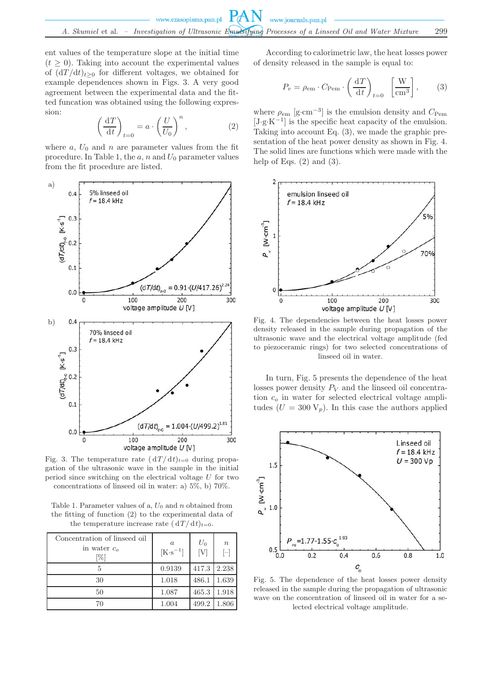ent values of the temperature slope at the initial time  $(t \geq 0)$ . Taking into account the experimental values of  $\frac{d T}{dt}_{t>0}$  for different voltages, we obtained for example dependences shown in Figs. 3. A very good agreement between the experimental data and the fitted funcation was obtained using the following expression:

$$
\left(\frac{\mathrm{d}T}{\mathrm{d}t}\right)_{t=0} = a \cdot \left(\frac{U}{U_0}\right)^n, \tag{2}
$$

where  $a, U_0$  and  $n$  are parameter values from the fit procedure. In Table 1, the  $a, n$  and  $U_0$  parameter values from the fit procedure are listed.



Fig. 3. The temperature rate  $(dT/dt)_{t=0}$  during propagation of the ultrasonic wave in the sample in the initial period since switching on the electrical voltage U for two concentrations of linseed oil in water: a) 5%, b) 70%.

Table 1. Parameter values of a,  $U_0$  and n obtained from the fitting of function (2) to the experimental data of the temperature increase rate  $(dT/dt)_{t=0}$ .

| Concentration of linseed oil<br>in water $co$<br>[%] | $\alpha$<br>[K·s <sup>-1</sup> ] | $U_0$<br>[V] | $\boldsymbol{n}$<br>$\Box$ |
|------------------------------------------------------|----------------------------------|--------------|----------------------------|
| 5                                                    | 0.9139                           | 417.3        | 2.238                      |
| 30                                                   | 1.018                            | 486.1        | 1.639                      |
| 50                                                   | 1.087                            | 465.3        | 1.918                      |
| 70                                                   | 1.004                            | 499.2        | 1.806                      |

According to calorimetric law, the heat losses power of density released in the sample is equal to:

$$
P_v = \rho_{\rm em} \cdot C_{\rm Pem} \cdot \left(\frac{\mathrm{d}T}{\mathrm{d}t}\right)_{t=0} \quad \left[\frac{\mathrm{W}}{\mathrm{cm}^3}\right],\tag{3}
$$

where  $\rho_{\rm em}$  [g·cm<sup>-3</sup>] is the emulsion density and  $C_{\rm Pem}$  $[J g K<sup>-1</sup>]$  is the specific heat capacity of the emulsion. Taking into account Eq. (3), we made the graphic presentation of the heat power density as shown in Fig. 4. The solid lines are functions which were made with the help of Eqs.  $(2)$  and  $(3)$ .



Fig. 4. The dependencies between the heat losses power density released in the sample during propagation of the ultrasonic wave and the electrical voltage amplitude (fed to piezoceramic rings) for two selected concentrations of linseed oil in water.

In turn, Fig. 5 presents the dependence of the heat losses power density  $P_V$  and the linseed oil concentration  $c<sub>o</sub>$  in water for selected electrical voltage amplitudes  $(U = 300 \text{ V}_p)$ . In this case the authors applied



Fig. 5. The dependence of the heat losses power density released in the sample during the propagation of ultrasonic wave on the concentration of linseed oil in water for a selected electrical voltage amplitude.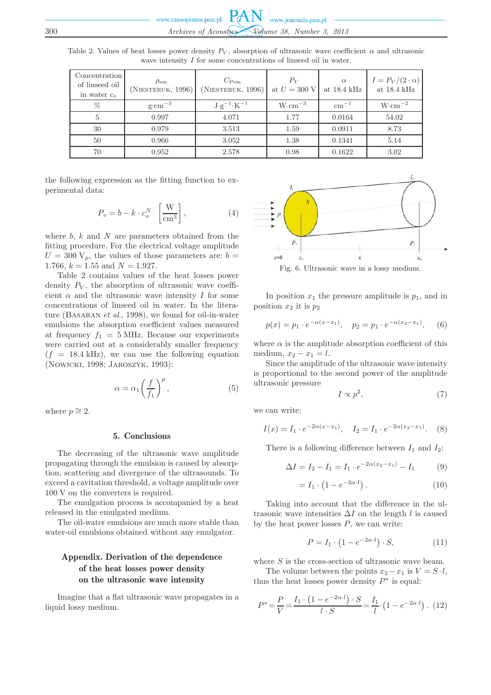| Table 2. Values of heat losses power density $P_V$ , absorption of ultrasonic wave coefficient $\alpha$ and ultrasonic |  |                                                                      |  |  |  |
|------------------------------------------------------------------------------------------------------------------------|--|----------------------------------------------------------------------|--|--|--|
|                                                                                                                        |  | wave intensity $I$ for some concentrations of linearch oil in water. |  |  |  |

| Concentration<br>of linseed oil<br>in water $c_{\alpha}$ | $\rho_{\rm em}$<br>(NIESTERUK, 1996) | $C_{\text{Pem}}$<br>(NIESTERUK, 1996) | $P_V$<br>at $U = 300$ V | $\alpha$<br>at $18.4 \text{ kHz}$ | $I = P_V/(2 \cdot \alpha)$<br>at $18.4 \text{ kHz}$ |
|----------------------------------------------------------|--------------------------------------|---------------------------------------|-------------------------|-----------------------------------|-----------------------------------------------------|
| $\%$                                                     | $g \cdot cm^{-3}$                    | $J \cdot g^{-1} \cdot K^{-1}$         | $W \cdot cm^{-3}$       | $cm^{-1}$                         | $W \cdot cm^{-2}$                                   |
| 5                                                        | 0.997                                | 4.071                                 | 1.77                    | 0.0164                            | 54.02                                               |
| 30                                                       | 0.979                                | 3.513                                 | 1.59                    | 0.0911                            | 8.73                                                |
| 50                                                       | 0.966                                | 3.052                                 | 1.38                    | 0.1341                            | 5.14                                                |
| 70                                                       | 0.952                                | 2.578                                 | 0.98                    | 0.1622                            | 3.02                                                |

the following expression as the fitting function to experimental data:

$$
P_v = b - k \cdot c_o^N \left[\frac{\text{W}}{\text{cm}^3}\right],\tag{4}
$$

where  $b, k$  and  $N$  are parameters obtained from the fitting procedure. For the electrical voltage amplitude  $U = 300 \text{ V}_p$ , the values of those parameters are:  $b =$ 1.766,  $k = 1.55$  and  $N = 1.927$ .

Table 2 contains values of the heat losses power density  $P_V$ , the absorption of ultrasonic wave coefficient  $\alpha$  and the ultrasonic wave intensity I for some concentrations of linseed oil in water. In the literature (Basaran *et al*., 1998), we found for oil-in-water emulsions the absorption coefficient values measured at frequency  $f_1 = 5$  MHz. Because our experiments were carried out at a considerably smaller frequency  $(f = 18.4 \text{ kHz})$ , we can use the following equation (Nowicki, 1998; Jaroszyk, 1993):

$$
\alpha = \alpha_1 \left(\frac{f}{f_1}\right)^p, \tag{5}
$$

where  $p \approx 2$ .

## 5. Conclusions

The decreasing of the ultrasonic wave amplitude propagating through the emulsion is caused by absorption, scattering and divergence of the ultrasounds. To exceed a cavitation threshold, a voltage amplitude over 100 V on the converters is required.

The emulgation process is accompanied by a heat released in the emulgated medium.

The oil-water emulsions are much more stable than water-oil emulsions obtained without any emulgator.

# Appendix. Derivation of the dependence of the heat losses power density on the ultrasonic wave intensity

Imagine that a flat ultrasonic wave propagates in a liquid lossy medium.



Fig. 6. Ultrasonic wave in a lossy medium.

In position  $x_1$  the pressure amplitude is  $p_1$ , and in position  $x_2$  it is  $p_2$ 

$$
p(x) = p_1 \cdot e^{-\alpha(x - x_1)}, \quad p_2 = p_1 \cdot e^{-\alpha(x_2 - x_1)},
$$
 (6)

where  $\alpha$  is the amplitude absorption coefficient of this medium,  $x_2 - x_1 = l$ .

Since the amplitude of the ultrasonic wave intensity is proportional to the second power of the amplitude ultrasonic pressure

$$
I \propto p^2,\tag{7}
$$

we can write:

$$
I(x) = I_1 \cdot e^{-2\alpha(x - x_1)}, \quad I_2 = I_1 \cdot e^{-2\alpha(x_2 - x_1)}.
$$
 (8)

There is a following difference between  $I_1$  and  $I_2$ :

$$
\Delta I = I_2 - I_1 = I_1 \cdot e^{-2\alpha(x_2 - x_1)} - I_1 \tag{9}
$$

$$
= I_1 \cdot \left(1 - e^{-2\alpha \cdot l}\right). \tag{10}
$$

Taking into account that the difference in the ultrasonic wave intensities  $\Delta I$  on the length l is caused by the heat power losses  $P$ , we can write:

$$
P = I_1 \cdot \left(1 - e^{-2\alpha \cdot l}\right) \cdot S,\tag{11}
$$

where  $S$  is the cross-section of ultrasonic wave beam.

The volume between the points  $x_2 - x_1$  is  $V = S \cdot l$ , thus the heat losses power density  $P^*$  is equal:

$$
P^* = \frac{P}{V} = \frac{I_1 \cdot (1 - e^{-2\alpha \cdot l}) \cdot S}{l \cdot S} = \frac{I_1}{l} \cdot (1 - e^{-2\alpha \cdot l}) \ . \tag{12}
$$